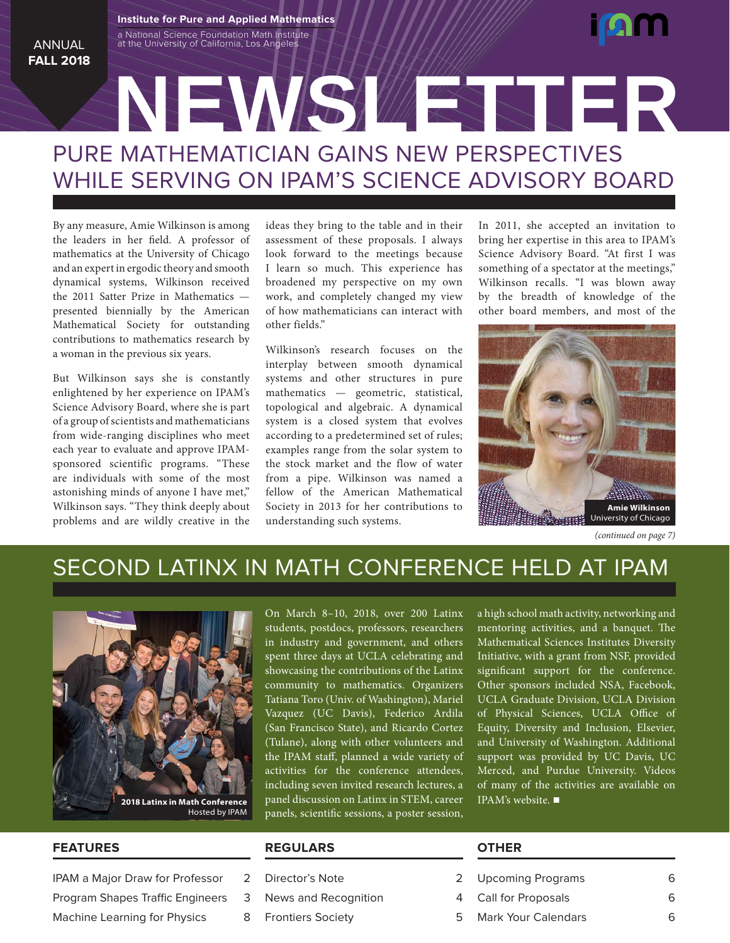#### ANNUAL **FALL 2018**

# PURE MATHEMATICIAN GAINS NEW PERSPECTIVES WHILE SERVING ON IPAM'S SCIENCE ADVISORY BOARD **NEWSLETTER**

By any measure, Amie Wilkinson is among the leaders in her field. A professor of mathematics at the University of Chicago and an expert in ergodic theory and smooth dynamical systems, Wilkinson received the 2011 Satter Prize in Mathematics presented biennially by the American Mathematical Society for outstanding contributions to mathematics research by a woman in the previous six years.

a National Science Foundation Math Institute at the University of California, Los Angeles **Institute for Pure and Applied Mathematics**

But Wilkinson says she is constantly enlightened by her experience on IPAM's Science Advisory Board, where she is part of a group of scientists and mathematicians from wide-ranging disciplines who meet each year to evaluate and approve IPAMsponsored scientific programs. "These are individuals with some of the most astonishing minds of anyone I have met," Wilkinson says. "They think deeply about problems and are wildly creative in the ideas they bring to the table and in their assessment of these proposals. I always look forward to the meetings because I learn so much. This experience has broadened my perspective on my own work, and completely changed my view of how mathematicians can interact with other fields."

Wilkinson's research focuses on the interplay between smooth dynamical systems and other structures in pure mathematics — geometric, statistical, topological and algebraic. A dynamical system is a closed system that evolves according to a predetermined set of rules; examples range from the solar system to the stock market and the flow of water from a pipe. Wilkinson was named a fellow of the American Mathematical Society in 2013 for her contributions to understanding such systems.

In 2011, she accepted an invitation to bring her expertise in this area to IPAM's Science Advisory Board. "At first I was something of a spectator at the meetings," Wilkinson recalls. "I was blown away by the breadth of knowledge of the other board members, and most of the



*(continued on page 7)*

### SECOND LATINX IN MATH CONFERENCE HELD AT IPAM



On March 8–10, 2018, over 200 Latinx students, postdocs, professors, researchers in industry and government, and others spent three days at UCLA celebrating and showcasing the contributions of the Latinx community to mathematics. Organizers Tatiana Toro (Univ. of Washington), Mariel Vazquez (UC Davis), Federico Ardila (San Francisco State), and Ricardo Cortez (Tulane), along with other volunteers and the IPAM staff, planned a wide variety of activities for the conference attendees, including seven invited research lectures, a panel discussion on Latinx in STEM, career panels, scientific sessions, a poster session,

a high school math activity, networking and mentoring activities, and a banquet. The Mathematical Sciences Institutes Diversity Initiative, with a grant from NSF, provided significant support for the conference. Other sponsors included NSA, Facebook, UCLA Graduate Division, UCLA Division of Physical Sciences, UCLA Office of Equity, Diversity and Inclusion, Elsevier, and University of Washington. Additional support was provided by UC Davis, UC Merced, and Purdue University. Videos of many of the activities are available on IPAM's website.  $\blacksquare$ 

#### **FEATURES**

IPAM a Major Draw for Professor 2

- Program Shapes Traffic Engineers 3
- Machine Learning for Physics 8

#### **REGULARS**

- Director's Note 2
- News and Recognition 4
- Frontiers Society **5**

#### **OTHER**

- Upcoming Programs 6
- Call for Proposals 6
- Mark Your Calendars 6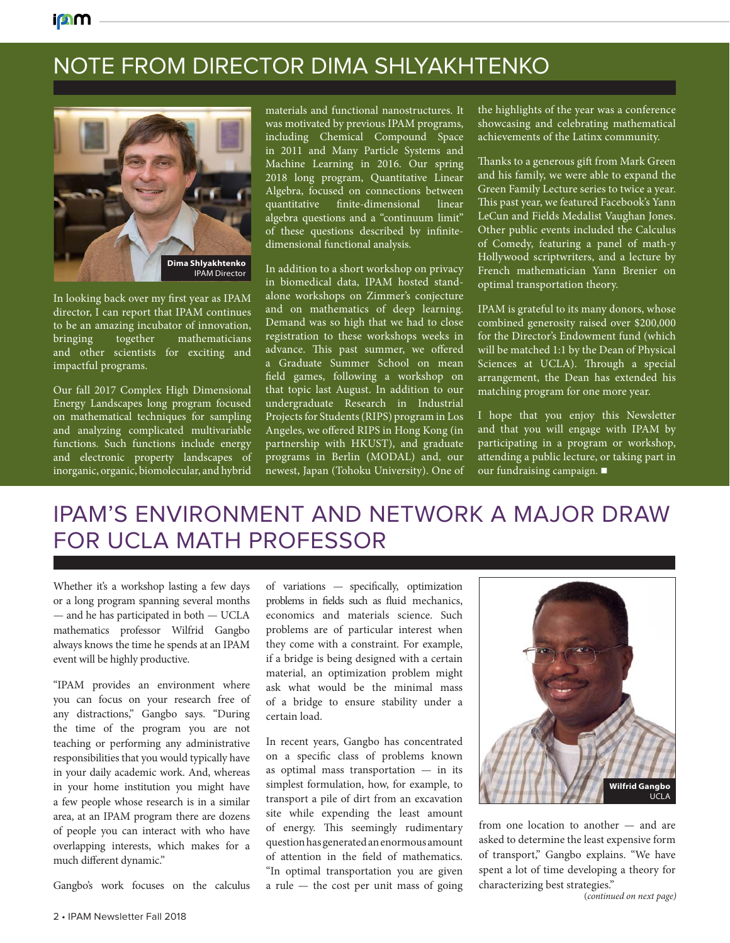## NOTE FROM DIRECTOR DIMA SHLYAKHTENKO



In looking back over my first year as IPAM director, I can report that IPAM continues to be an amazing incubator of innovation, bringing together mathematicians and other scientists for exciting and impactful programs.

Our fall 2017 Complex High Dimensional Energy Landscapes long program focused on mathematical techniques for sampling and analyzing complicated multivariable functions. Such functions include energy and electronic property landscapes of inorganic, organic, biomolecular, and hybrid

materials and functional nanostructures. It was motivated by previous IPAM programs, including Chemical Compound Space in 2011 and Many Particle Systems and Machine Learning in 2016. Our spring 2018 long program, Quantitative Linear Algebra, focused on connections between quantitative finite-dimensional linear algebra questions and a "continuum limit" of these questions described by infinitedimensional functional analysis.

In addition to a short workshop on privacy in biomedical data, IPAM hosted standalone workshops on Zimmer's conjecture and on mathematics of deep learning. Demand was so high that we had to close registration to these workshops weeks in advance. This past summer, we offered a Graduate Summer School on mean field games, following a workshop on that topic last August. In addition to our undergraduate Research in Industrial Projects for Students (RIPS) program in Los Angeles, we offered RIPS in Hong Kong (in partnership with HKUST), and graduate programs in Berlin (MODAL) and, our newest, Japan (Tohoku University). One of

the highlights of the year was a conference showcasing and celebrating mathematical achievements of the Latinx community.

Thanks to a generous gift from Mark Green and his family, we were able to expand the Green Family Lecture series to twice a year. This past year, we featured Facebook's Yann LeCun and Fields Medalist Vaughan Jones. Other public events included the Calculus of Comedy, featuring a panel of math-y Hollywood scriptwriters, and a lecture by French mathematician Yann Brenier on optimal transportation theory.

IPAM is grateful to its many donors, whose combined generosity raised over \$200,000 for the Director's Endowment fund (which will be matched 1:1 by the Dean of Physical Sciences at UCLA). Through a special arrangement, the Dean has extended his matching program for one more year.

I hope that you enjoy this Newsletter and that you will engage with IPAM by participating in a program or workshop, attending a public lecture, or taking part in our fundraising campaign.  $\blacksquare$ 

### IPAM'S ENVIRONMENT AND NETWORK A MAJOR DRAW FOR UCLA MATH PROFESSOR

Whether it's a workshop lasting a few days or a long program spanning several months — and he has participated in both — UCLA mathematics professor Wilfrid Gangbo always knows the time he spends at an IPAM event will be highly productive.

"IPAM provides an environment where you can focus on your research free of any distractions," Gangbo says. "During the time of the program you are not teaching or performing any administrative responsibilities that you would typically have in your daily academic work. And, whereas in your home institution you might have a few people whose research is in a similar area, at an IPAM program there are dozens of people you can interact with who have overlapping interests, which makes for a much different dynamic."

Gangbo's work focuses on the calculus

of variations — specifically, optimization problems in fields such as fluid mechanics, economics and materials science. Such problems are of particular interest when they come with a constraint. For example, if a bridge is being designed with a certain material, an optimization problem might ask what would be the minimal mass of a bridge to ensure stability under a certain load.

In recent years, Gangbo has concentrated on a specific class of problems known as optimal mass transportation — in its simplest formulation, how, for example, to transport a pile of dirt from an excavation site while expending the least amount of energy. This seemingly rudimentary question has generated an enormous amount of attention in the field of mathematics. "In optimal transportation you are given a rule  $-$  the cost per unit mass of going



from one location to another — and are asked to determine the least expensive form of transport," Gangbo explains. "We have spent a lot of time developing a theory for characterizing best strategies."

(*continued on next page)*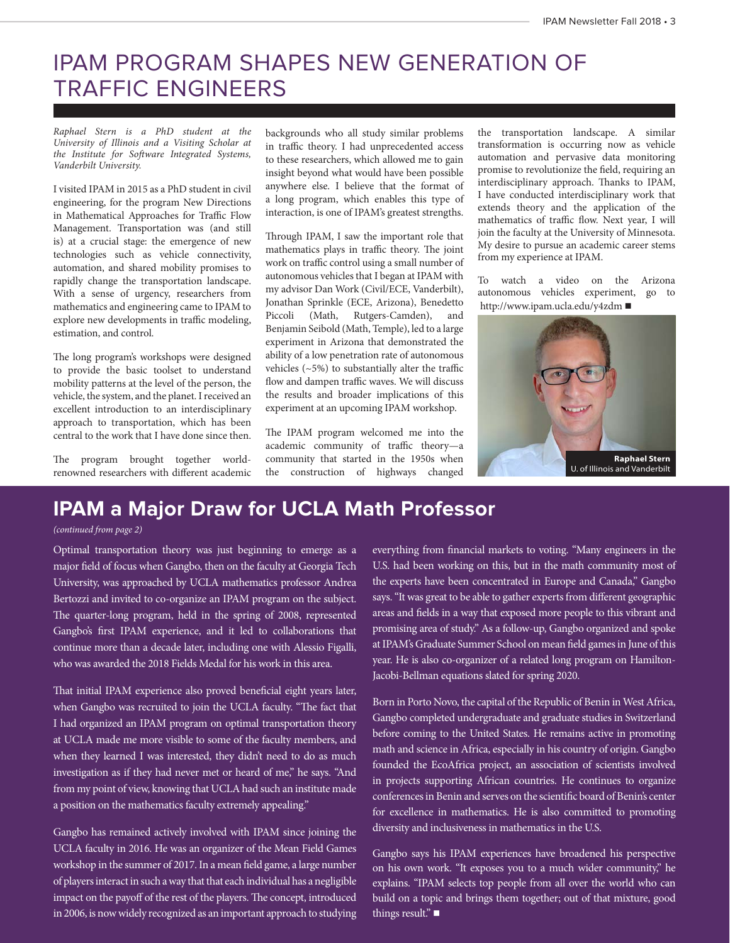# IPAM PROGRAM SHAPES NEW GENERATION OF TRAFFIC ENGINEERS

*Raphael Stern is a PhD student at the University of Illinois and a Visiting Scholar at the Institute for Software Integrated Systems, Vanderbilt University.*

I visited IPAM in 2015 as a PhD student in civil engineering, for the program New Directions in Mathematical Approaches for Traffic Flow Management. Transportation was (and still is) at a crucial stage: the emergence of new technologies such as vehicle connectivity, automation, and shared mobility promises to rapidly change the transportation landscape. With a sense of urgency, researchers from mathematics and engineering came to IPAM to explore new developments in traffic modeling, estimation, and control.

The long program's workshops were designed to provide the basic toolset to understand mobility patterns at the level of the person, the vehicle, the system, and the planet. I received an excellent introduction to an interdisciplinary approach to transportation, which has been central to the work that I have done since then.

The program brought together worldrenowned researchers with different academic

backgrounds who all study similar problems in traffic theory. I had unprecedented access to these researchers, which allowed me to gain insight beyond what would have been possible anywhere else. I believe that the format of a long program, which enables this type of interaction, is one of IPAM's greatest strengths.

Through IPAM, I saw the important role that mathematics plays in traffic theory. The joint work on traffic control using a small number of autonomous vehicles that I began at IPAM with my advisor Dan Work (Civil/ECE, Vanderbilt), Jonathan Sprinkle (ECE, Arizona), Benedetto Piccoli (Math, Rutgers-Camden), and Benjamin Seibold (Math, Temple), led to a large experiment in Arizona that demonstrated the ability of a low penetration rate of autonomous vehicles (~5%) to substantially alter the traffic flow and dampen traffic waves. We will discuss the results and broader implications of this experiment at an upcoming IPAM workshop.

The IPAM program welcomed me into the academic community of traffic theory—a community that started in the 1950s when the construction of highways changed

the transportation landscape. A similar transformation is occurring now as vehicle automation and pervasive data monitoring promise to revolutionize the field, requiring an interdisciplinary approach. Thanks to IPAM, I have conducted interdisciplinary work that extends theory and the application of the mathematics of traffic flow. Next year, I will join the faculty at the University of Minnesota. My desire to pursue an academic career stems from my experience at IPAM.

To watch a video on the Arizona autonomous vehicles experiment, go to http://www.ipam.ucla.edu/y4zdm ■



### **IPAM a Major Draw for UCLA Math Professor**

#### *(continued from page 2)*

Optimal transportation theory was just beginning to emerge as a major field of focus when Gangbo, then on the faculty at Georgia Tech University, was approached by UCLA mathematics professor Andrea Bertozzi and invited to co-organize an IPAM program on the subject. The quarter-long program, held in the spring of 2008, represented Gangbo's first IPAM experience, and it led to collaborations that continue more than a decade later, including one with Alessio Figalli, who was awarded the 2018 Fields Medal for his work in this area.

That initial IPAM experience also proved beneficial eight years later, when Gangbo was recruited to join the UCLA faculty. "The fact that I had organized an IPAM program on optimal transportation theory at UCLA made me more visible to some of the faculty members, and when they learned I was interested, they didn't need to do as much investigation as if they had never met or heard of me," he says. "And from my point of view, knowing that UCLA had such an institute made a position on the mathematics faculty extremely appealing."

Gangbo has remained actively involved with IPAM since joining the UCLA faculty in 2016. He was an organizer of the Mean Field Games workshop in the summer of 2017. In a mean field game, a large number of players interact in such a way that that each individual has a negligible impact on the payoff of the rest of the players. The concept, introduced in 2006, is now widely recognized as an important approach to studying everything from financial markets to voting. "Many engineers in the U.S. had been working on this, but in the math community most of the experts have been concentrated in Europe and Canada," Gangbo says. "It was great to be able to gather experts from different geographic areas and fields in a way that exposed more people to this vibrant and promising area of study." As a follow-up, Gangbo organized and spoke at IPAM's Graduate Summer School on mean field games in June of this year. He is also co-organizer of a related long program on Hamilton-Jacobi-Bellman equations slated for spring 2020.

Born in Porto Novo, the capital of the Republic of Benin in West Africa, Gangbo completed undergraduate and graduate studies in Switzerland before coming to the United States. He remains active in promoting math and science in Africa, especially in his country of origin. Gangbo founded the EcoAfrica project, an association of scientists involved in projects supporting African countries. He continues to organize conferences in Benin and serves on the scientific board of Benin's center for excellence in mathematics. He is also committed to promoting diversity and inclusiveness in mathematics in the U.S.

Gangbo says his IPAM experiences have broadened his perspective on his own work. "It exposes you to a much wider community," he explains. "IPAM selects top people from all over the world who can build on a topic and brings them together; out of that mixture, good things result." $\blacksquare$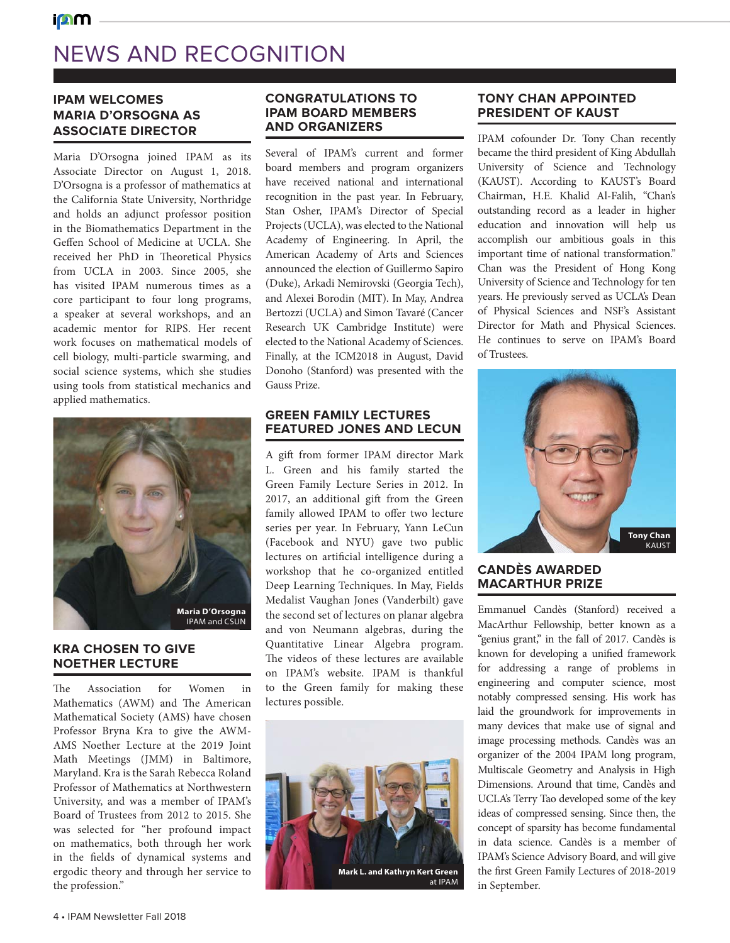# NEWS AND RECOGNITION

#### **IPAM WELCOMES MARIA D'ORSOGNA AS ASSOCIATE DIRECTOR**

**i**nm

Maria D'Orsogna joined IPAM as its Associate Director on August 1, 2018. D'Orsogna is a professor of mathematics at the California State University, Northridge and holds an adjunct professor position in the Biomathematics Department in the Geffen School of Medicine at UCLA. She received her PhD in Theoretical Physics from UCLA in 2003. Since 2005, she has visited IPAM numerous times as a core participant to four long programs, a speaker at several workshops, and an academic mentor for RIPS. Her recent work focuses on mathematical models of cell biology, multi-particle swarming, and social science systems, which she studies using tools from statistical mechanics and applied mathematics.



#### **KRA CHOSEN TO GIVE NOETHER LECTURE**

The Association for Women in Mathematics (AWM) and The American Mathematical Society (AMS) have chosen Professor Bryna Kra to give the AWM-AMS Noether Lecture at the 2019 Joint Math Meetings (JMM) in Baltimore, Maryland. Kra is the Sarah Rebecca Roland Professor of Mathematics at Northwestern University, and was a member of IPAM's Board of Trustees from 2012 to 2015. She was selected for "her profound impact on mathematics, both through her work in the fields of dynamical systems and ergodic theory and through her service to the profession."

#### **CONGRATULATIONS TO IPAM BOARD MEMBERS AND ORGANIZERS**

Several of IPAM's current and former board members and program organizers have received national and international recognition in the past year. In February, Stan Osher, IPAM's Director of Special Projects (UCLA), was elected to the National Academy of Engineering. In April, the American Academy of Arts and Sciences announced the election of Guillermo Sapiro (Duke), Arkadi Nemirovski (Georgia Tech), and Alexei Borodin (MIT). In May, Andrea Bertozzi (UCLA) and Simon Tavaré (Cancer Research UK Cambridge Institute) were elected to the National Academy of Sciences. Finally, at the ICM2018 in August, David Donoho (Stanford) was presented with the Gauss Prize.

#### **GREEN FAMILY LECTURES FEATURED JONES AND LECUN**

A gift from former IPAM director Mark L. Green and his family started the Green Family Lecture Series in 2012. In 2017, an additional gift from the Green family allowed IPAM to offer two lecture series per year. In February, Yann LeCun (Facebook and NYU) gave two public lectures on artificial intelligence during a workshop that he co-organized entitled Deep Learning Techniques. In May, Fields Medalist Vaughan Jones (Vanderbilt) gave the second set of lectures on planar algebra and von Neumann algebras, during the Quantitative Linear Algebra program. The videos of these lectures are available on IPAM's website. IPAM is thankful to the Green family for making these lectures possible.



#### **TONY CHAN APPOINTED PRESIDENT OF KAUST**

IPAM cofounder Dr. Tony Chan recently became the third president of King Abdullah University of Science and Technology (KAUST). According to KAUST's Board Chairman, H.E. Khalid Al-Falih, "Chan's outstanding record as a leader in higher education and innovation will help us accomplish our ambitious goals in this important time of national transformation." Chan was the President of Hong Kong University of Science and Technology for ten years. He previously served as UCLA's Dean of Physical Sciences and NSF's Assistant Director for Math and Physical Sciences. He continues to serve on IPAM's Board of Trustees.



#### **CANDÈS AWARDED MACARTHUR PRIZE**

Emmanuel Candès (Stanford) received a MacArthur Fellowship, better known as a "genius grant," in the fall of 2017. Candès is known for developing a unified framework for addressing a range of problems in engineering and computer science, most notably compressed sensing. His work has laid the groundwork for improvements in many devices that make use of signal and image processing methods. Candès was an organizer of the 2004 IPAM long program, Multiscale Geometry and Analysis in High Dimensions. Around that time, Candès and UCLA's Terry Tao developed some of the key ideas of compressed sensing. Since then, the concept of sparsity has become fundamental in data science. Candès is a member of IPAM's Science Advisory Board, and will give the first Green Family Lectures of 2018-2019 in September.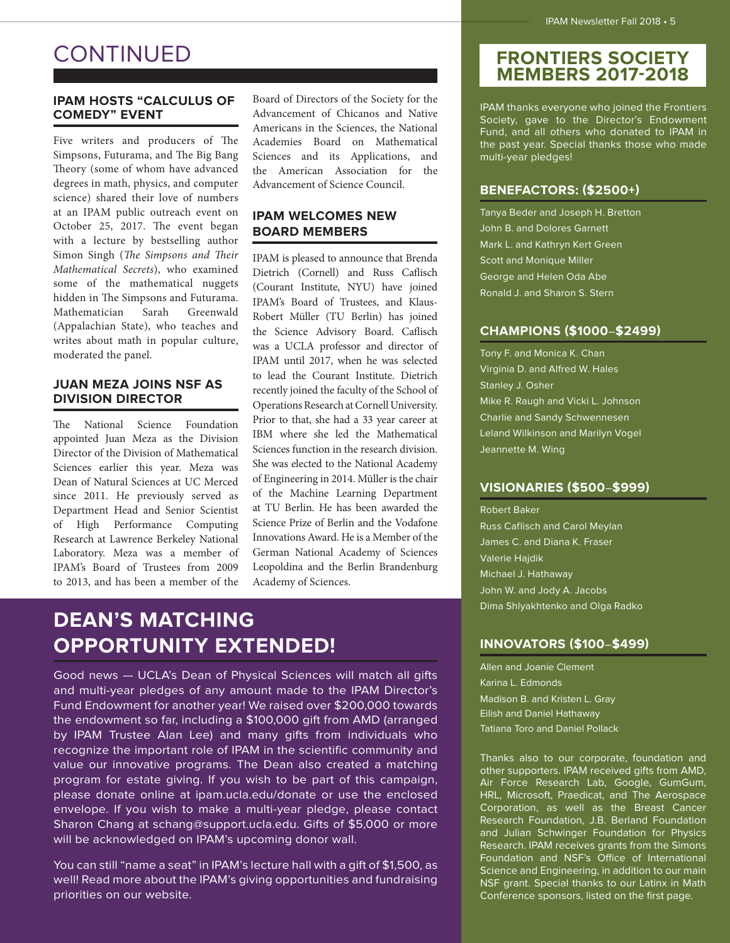### **CONTINUED**

#### **IPAM HOSTS "CALCULUS OF COMEDY" EVENT**

Five writers and producers of The Simpsons, Futurama, and The Big Bang Theory (some of whom have advanced degrees in math, physics, and computer science) shared their love of numbers at an IPAM public outreach event on October 25, 2017. The event began with a lecture by bestselling author Simon Singh (*The Simpsons and Their Mathematical Secrets*), who examined some of the mathematical nuggets hidden in The Simpsons and Futurama. Mathematician Sarah Greenwald (Appalachian State), who teaches and writes about math in popular culture, moderated the panel.

#### **JUAN MEZA JOINS NSF AS DIVISION DIRECTOR**

The National Science Foundation appointed Juan Meza as the Division Director of the Division of Mathematical Sciences earlier this year. Meza was Dean of Natural Sciences at UC Merced since 2011. He previously served as Department Head and Senior Scientist of High Performance Computing Research at Lawrence Berkeley National Laboratory. Meza was a member of IPAM's Board of Trustees from 2009 to 2013, and has been a member of the Board of Directors of the Society for the Advancement of Chicanos and Native Americans in the Sciences, the National Academies Board on Mathematical Sciences and its Applications, and the American Association for the Advancement of Science Council.

#### **IPAM WELCOMES NEW BOARD MEMBERS**

IPAM is pleased to announce that Brenda Dietrich (Cornell) and Russ Caflisch (Courant Institute, NYU) have joined IPAM's Board of Trustees, and Klaus-Robert Müller (TU Berlin) has joined the Science Advisory Board. Caflisch was a UCLA professor and director of IPAM until 2017, when he was selected to lead the Courant Institute. Dietrich recently joined the faculty of the School of Operations Research at Cornell University. Prior to that, she had a 33 year career at IBM where she led the Mathematical Sciences function in the research division. She was elected to the National Academy of Engineering in 2014. Müller is the chair of the Machine Learning Department at TU Berlin. He has been awarded the Science Prize of Berlin and the Vodafone Innovations Award. He is a Member of the German National Academy of Sciences Leopoldina and the Berlin Brandenburg Academy of Sciences.

### **DEAN'S MATCHING OPPORTUNITY EXTENDED!**

Good news — UCLA's Dean of Physical Sciences will match all gifts and multi-year pledges of any amount made to the IPAM Director's Fund Endowment for another year! We raised over \$200,000 towards the endowment so far, including a \$100,000 gift from AMD (arranged by IPAM Trustee Alan Lee) and many gifts from individuals who recognize the important role of IPAM in the scientific community and value our innovative programs. The Dean also created a matching program for estate giving. If you wish to be part of this campaign, please donate online at ipam.ucla.edu/donate or use the enclosed envelope. If you wish to make a multi-year pledge, please contact Sharon Chang at schang@support.ucla.edu. Gifts of \$5,000 or more will be acknowledged on IPAM's upcoming donor wall.

You can still "name a seat" in IPAM's lecture hall with a gift of \$1,500, as well! Read more about the IPAM's giving opportunities and fundraising priorities on our website.

#### **FRONTIERS SOCIETY MEMBERS 2017-2018**

IPAM thanks everyone who joined the Frontiers Society, gave to the Director's Endowment Fund, and all others who donated to IPAM in the past year. Special thanks those who made multi-year pledges!

#### **BENEFACTORS: (\$2500+)**

Tanya Beder and Joseph H. Bretton John B. and Dolores Garnett Mark L. and Kathryn Kert Green Scott and Monique Miller George and Helen Oda Abe Ronald J. and Sharon S. Stern

#### **CHAMPIONS (\$1000**–**\$2499)**

Tony F. and Monica K. Chan Virginia D. and Alfred W. Hales Stanley J. Osher Mike R. Raugh and Vicki L. Johnson Charlie and Sandy Schwennesen Leland Wilkinson and Marilyn Vogel Jeannette M. Wing

#### **VISIONARIES (\$500**–**\$999)**

Robert Baker Russ Caflisch and Carol Meylan James C. and Diana K. Fraser Valerie Hajdik Michael J. Hathaway John W. and Jody A. Jacobs Dima Shlyakhtenko and Olga Radko

#### **INNOVATORS (\$100**–**\$499)**

Allen and Joanie Clement Karina L. Edmonds Madison B. and Kristen L. Gray Eilish and Daniel Hathaway Tatiana Toro and Daniel Pollack

Thanks also to our corporate, foundation and other supporters. IPAM received gifts from AMD, Air Force Research Lab, Google, GumGum, HRL, Microsoft, Praedicat, and The Aerospace Corporation, as well as the Breast Cancer Research Foundation, J.B. Berland Foundation and Julian Schwinger Foundation for Physics Research. IPAM receives grants from the Simons Foundation and NSF's Office of International Science and Engineering, in addition to our main NSF grant. Special thanks to our Latinx in Math Conference sponsors, listed on the first page.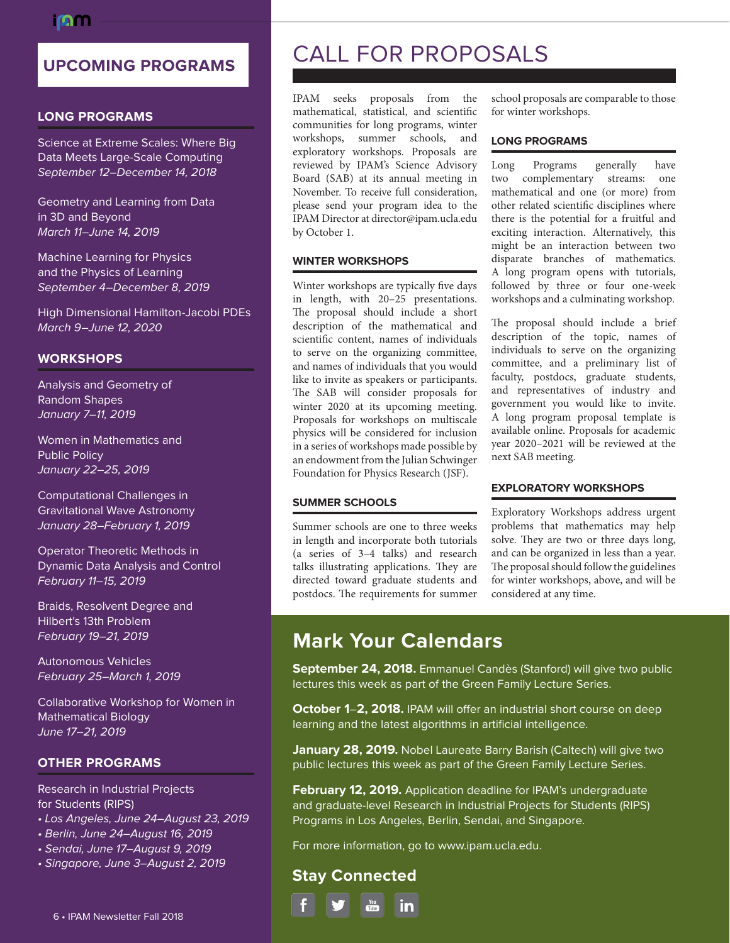### **UPCOMING PROGRAMS**

#### **LONG PROGRAMS**

Science at Extreme Scales: Where Big Data Meets Large-Scale Computing September 12–December 14, 2018

Geometry and Learning from Data in 3D and Beyond March 11–June 14, 2019

Machine Learning for Physics and the Physics of Learning September 4–December 8, 2019

High Dimensional Hamilton-Jacobi PDEs March 9–June 12, 2020

#### **WORKSHOPS**

Analysis and Geometry of Random Shapes January 7–11, 2019

Women in Mathematics and Public Policy January 22–25, 2019

Computational Challenges in Gravitational Wave Astronomy January 28–February 1, 2019

Operator Theoretic Methods in Dynamic Data Analysis and Control February 11–15, 2019

Braids, Resolvent Degree and Hilbert's 13th Problem February 19–21, 2019

Autonomous Vehicles February 25–March 1, 2019

Collaborative Workshop for Women in Mathematical Biology June 17–21, 2019

#### **OTHER PROGRAMS**

Research in Industrial Projects for Students (RIPS)

- Los Angeles, June 24–August 23, 2019
- Berlin, June 24–August 16, 2019
- Sendai, June 17–August 9, 2019
- Singapore, June 3–August 2, 2019

### CALL FOR PROPOSALS

IPAM seeks proposals from the mathematical, statistical, and scientific communities for long programs, winter workshops, summer schools, and exploratory workshops. Proposals are reviewed by IPAM's Science Advisory Board (SAB) at its annual meeting in November. To receive full consideration, please send your program idea to the IPAM Director at director@ipam.ucla.edu by October 1.

#### **WINTER WORKSHOPS**

Winter workshops are typically five days in length, with 20–25 presentations. The proposal should include a short description of the mathematical and scientific content, names of individuals to serve on the organizing committee, and names of individuals that you would like to invite as speakers or participants. The SAB will consider proposals for winter 2020 at its upcoming meeting. Proposals for workshops on multiscale physics will be considered for inclusion in a series of workshops made possible by an endowment from the Julian Schwinger Foundation for Physics Research (JSF).

Summer schools are one to three weeks in length and incorporate both tutorials (a series of 3–4 talks) and research

postdocs. The requirements for summer

school proposals are comparable to those for winter workshops.

#### **LONG PROGRAMS**

Long Programs generally have two complementary streams: one mathematical and one (or more) from other related scientific disciplines where there is the potential for a fruitful and exciting interaction. Alternatively, this might be an interaction between two disparate branches of mathematics. A long program opens with tutorials, followed by three or four one-week workshops and a culminating workshop.

The proposal should include a brief description of the topic, names of individuals to serve on the organizing committee, and a preliminary list of faculty, postdocs, graduate students, and representatives of industry and government you would like to invite. A long program proposal template is available online. Proposals for academic year 2020–2021 will be reviewed at the next SAB meeting.

#### **EXPLORATORY WORKSHOPS**

Exploratory Workshops address urgent problems that mathematics may help solve. They are two or three days long, and can be organized in less than a year. The proposal should follow the guidelines for winter workshops, above, and will be considered at any time.

#### talks illustrating applications. They are directed toward graduate students and

**SUMMER SCHOOLS**

### **Mark Your Calendars**

**September 24, 2018.** Emmanuel Candès (Stanford) will give two public lectures this week as part of the Green Family Lecture Series.

**October 1**–**2, 2018.** IPAM will offer an industrial short course on deep learning and the latest algorithms in artificial intelligence.

**January 28, 2019.** Nobel Laureate Barry Barish (Caltech) will give two public lectures this week as part of the Green Family Lecture Series.

**February 12, 2019.** Application deadline for IPAM's undergraduate and graduate-level Research in Industrial Projects for Students (RIPS) Programs in Los Angeles, Berlin, Sendai, and Singapore.

For more information, go to www.ipam.ucla.edu.

#### **Stay Connected**

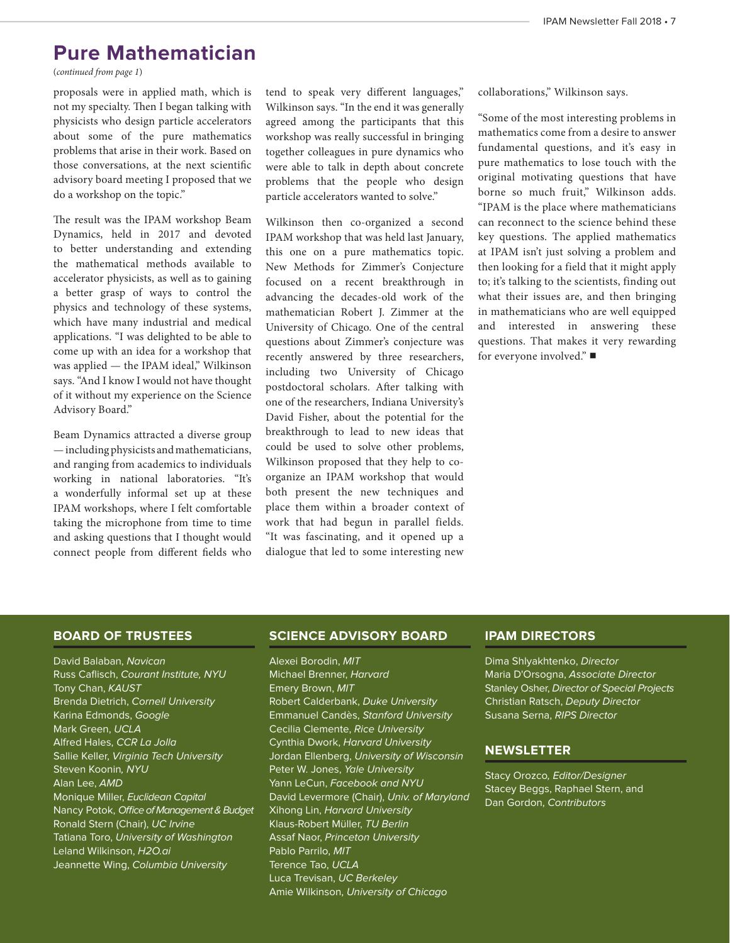### **Pure Mathematician**

(*continued from page 1*)

proposals were in applied math, which is not my specialty. Then I began talking with physicists who design particle accelerators about some of the pure mathematics problems that arise in their work. Based on those conversations, at the next scientific advisory board meeting I proposed that we do a workshop on the topic."

The result was the IPAM workshop Beam Dynamics, held in 2017 and devoted to better understanding and extending the mathematical methods available to accelerator physicists, as well as to gaining a better grasp of ways to control the physics and technology of these systems, which have many industrial and medical applications. "I was delighted to be able to come up with an idea for a workshop that was applied - the IPAM ideal," Wilkinson says. "And I know I would not have thought of it without my experience on the Science Advisory Board."

Beam Dynamics attracted a diverse group — including physicists and mathematicians, and ranging from academics to individuals working in national laboratories. "It's a wonderfully informal set up at these IPAM workshops, where I felt comfortable taking the microphone from time to time and asking questions that I thought would connect people from different fields who tend to speak very different languages," Wilkinson says. "In the end it was generally agreed among the participants that this workshop was really successful in bringing together colleagues in pure dynamics who were able to talk in depth about concrete problems that the people who design particle accelerators wanted to solve."

Wilkinson then co-organized a second IPAM workshop that was held last January, this one on a pure mathematics topic. New Methods for Zimmer's Conjecture focused on a recent breakthrough in advancing the decades-old work of the mathematician Robert J. Zimmer at the University of Chicago. One of the central questions about Zimmer's conjecture was recently answered by three researchers, including two University of Chicago postdoctoral scholars. After talking with one of the researchers, Indiana University's David Fisher, about the potential for the breakthrough to lead to new ideas that could be used to solve other problems, Wilkinson proposed that they help to coorganize an IPAM workshop that would both present the new techniques and place them within a broader context of work that had begun in parallel fields. "It was fascinating, and it opened up a dialogue that led to some interesting new collaborations," Wilkinson says.

"Some of the most interesting problems in mathematics come from a desire to answer fundamental questions, and it's easy in pure mathematics to lose touch with the original motivating questions that have borne so much fruit," Wilkinson adds. "IPAM is the place where mathematicians can reconnect to the science behind these key questions. The applied mathematics at IPAM isn't just solving a problem and then looking for a field that it might apply to; it's talking to the scientists, finding out what their issues are, and then bringing in mathematicians who are well equipped and interested in answering these questions. That makes it very rewarding for everyone involved." $\blacksquare$ 

#### **BOARD OF TRUSTEES**

David Balaban, Navican Russ Caflisch, Courant Institute, NYU Tony Chan, KAUST Brenda Dietrich, Cornell University Karina Edmonds, Google Mark Green, UCLA Alfred Hales, CCR La Jolla Sallie Keller, Virginia Tech University Steven Koonin, NYU Alan Lee, AMD Monique Miller, Euclidean Capital Nancy Potok, Office of Management & Budget Ronald Stern (Chair), UC Irvine Tatiana Toro, University of Washington Leland Wilkinson, H2O.ai Jeannette Wing, Columbia University

#### **SCIENCE ADVISORY BOARD**

Alexei Borodin, MIT Michael Brenner, Harvard Emery Brown, MIT Robert Calderbank, Duke University Emmanuel Candès, Stanford University Cecilia Clemente, Rice University Cynthia Dwork, Harvard University Jordan Ellenberg, University of Wisconsin Peter W. Jones, Yale University Yann LeCun, Facebook and NYU David Levermore (Chair), Univ. of Maryland Xihong Lin, Harvard University Klaus-Robert Müller, TU Berlin Assaf Naor, Princeton University Pablo Parrilo, MIT Terence Tao, UCLA Luca Trevisan, UC Berkeley Amie Wilkinson, University of Chicago

#### **IPAM DIRECTORS**

Dima Shlyakhtenko, Director Maria D'Orsogna, Associate Director Stanley Osher, Director of Special Projects Christian Ratsch, Deputy Director Susana Serna, RIPS Director

#### **NEWSLETTER**

Stacy Orozco, Editor/Designer Stacey Beggs, Raphael Stern, and Dan Gordon, Contributors